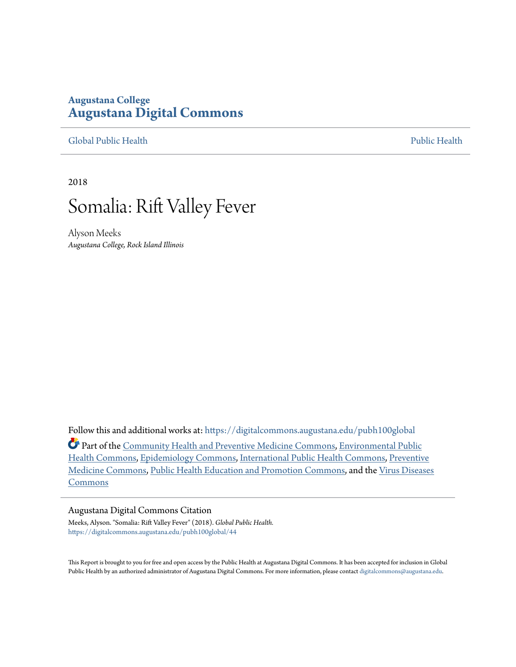### **Augustana College [Augustana Digital Commons](https://digitalcommons.augustana.edu?utm_source=digitalcommons.augustana.edu%2Fpubh100global%2F44&utm_medium=PDF&utm_campaign=PDFCoverPages)**

[Global Public Health](https://digitalcommons.augustana.edu/pubh100global?utm_source=digitalcommons.augustana.edu%2Fpubh100global%2F44&utm_medium=PDF&utm_campaign=PDFCoverPages) [Public Health](https://digitalcommons.augustana.edu/publichealth?utm_source=digitalcommons.augustana.edu%2Fpubh100global%2F44&utm_medium=PDF&utm_campaign=PDFCoverPages)

2018

## Somalia: Rift Valley Fever

Alyson Meeks *Augustana College, Rock Island Illinois*

Follow this and additional works at: [https://digitalcommons.augustana.edu/pubh100global](https://digitalcommons.augustana.edu/pubh100global?utm_source=digitalcommons.augustana.edu%2Fpubh100global%2F44&utm_medium=PDF&utm_campaign=PDFCoverPages) Part of the [Community Health and Preventive Medicine Commons,](http://network.bepress.com/hgg/discipline/744?utm_source=digitalcommons.augustana.edu%2Fpubh100global%2F44&utm_medium=PDF&utm_campaign=PDFCoverPages) [Environmental Public](http://network.bepress.com/hgg/discipline/739?utm_source=digitalcommons.augustana.edu%2Fpubh100global%2F44&utm_medium=PDF&utm_campaign=PDFCoverPages) [Health Commons,](http://network.bepress.com/hgg/discipline/739?utm_source=digitalcommons.augustana.edu%2Fpubh100global%2F44&utm_medium=PDF&utm_campaign=PDFCoverPages) [Epidemiology Commons](http://network.bepress.com/hgg/discipline/740?utm_source=digitalcommons.augustana.edu%2Fpubh100global%2F44&utm_medium=PDF&utm_campaign=PDFCoverPages), [International Public Health Commons](http://network.bepress.com/hgg/discipline/746?utm_source=digitalcommons.augustana.edu%2Fpubh100global%2F44&utm_medium=PDF&utm_campaign=PDFCoverPages), [Preventive](http://network.bepress.com/hgg/discipline/703?utm_source=digitalcommons.augustana.edu%2Fpubh100global%2F44&utm_medium=PDF&utm_campaign=PDFCoverPages) [Medicine Commons,](http://network.bepress.com/hgg/discipline/703?utm_source=digitalcommons.augustana.edu%2Fpubh100global%2F44&utm_medium=PDF&utm_campaign=PDFCoverPages) [Public Health Education and Promotion Commons](http://network.bepress.com/hgg/discipline/743?utm_source=digitalcommons.augustana.edu%2Fpubh100global%2F44&utm_medium=PDF&utm_campaign=PDFCoverPages), and the [Virus Diseases](http://network.bepress.com/hgg/discipline/998?utm_source=digitalcommons.augustana.edu%2Fpubh100global%2F44&utm_medium=PDF&utm_campaign=PDFCoverPages) [Commons](http://network.bepress.com/hgg/discipline/998?utm_source=digitalcommons.augustana.edu%2Fpubh100global%2F44&utm_medium=PDF&utm_campaign=PDFCoverPages)

### Augustana Digital Commons Citation

Meeks, Alyson. "Somalia: Rift Valley Fever" (2018). *Global Public Health.* [https://digitalcommons.augustana.edu/pubh100global/44](https://digitalcommons.augustana.edu/pubh100global/44?utm_source=digitalcommons.augustana.edu%2Fpubh100global%2F44&utm_medium=PDF&utm_campaign=PDFCoverPages)

This Report is brought to you for free and open access by the Public Health at Augustana Digital Commons. It has been accepted for inclusion in Global Public Health by an authorized administrator of Augustana Digital Commons. For more information, please contact [digitalcommons@augustana.edu.](mailto:digitalcommons@augustana.edu)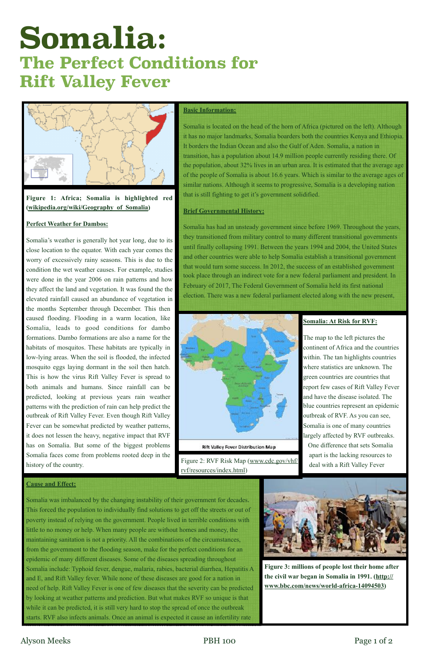# **Somalia: The Perfect Conditions for Rift Valley Fever**



### **Basic Information:**

Somalia is located on the head of the horn of Africa (pictured on the left). Although it has no major landmarks, Somalia boarders both the countries Kenya and Ethiopia. It borders the Indian Ocean and also the Gulf of Aden. Somalia, a nation in transition, has a population about 14.9 million people currently residing there. Of the population, about 32% lives in an urban area. It is estimated that the average age of the people of Somalia is about 16.6 years. Which is similar to the average ages of similar nations. Although it seems to progressive, Somalia is a developing nation that is still fighting to get it's government solidified.

### **Brief Governmental History:**

Somalia has had an unsteady government since before 1969. Throughout the years, they transitioned from military control to many different transitional governments until finally collapsing 1991. Between the years 1994 and 2004, the United States and other countries were able to help Somalia establish a transitional government that would turn some success. In 2012, the success of an established government took place through an indirect vote for a new federal parliament and president. In February of 2017, The Federal Government of Somalia held its first national election. There was a new federal parliament elected along with the new present,



**Rift Valley Fever Distribution Map** 

### **Figure 1: Africa; Somalia is highlighted red ([wikipedia.org/wiki/Geography\\_of\\_Somalia](http://wikipedia.org/wiki/Geography_of_Somalia))**

### **Perfect Weather for Dambos:**

Somalia's weather is generally hot year long, due to its close location to the equator. With each year comes the worry of excessively rainy seasons. This is due to the condition the wet weather causes. For example, studies were done in the year 2006 on rain patterns and how they affect the land and vegetation. It was found the the elevated rainfall caused an abundance of vegetation in the months September through December. This then caused flooding. Flooding in a warm location, like Somalia, leads to good conditions for dambo formations. Dambo formations are also a name for the habitats of mosquitos. These habitats are typically in low-lying areas. When the soil is flooded, the infected mosquito eggs laying dormant in the soil then hatch. This is how the virus Rift Valley Fever is spread to both animals and humans. Since rainfall can be predicted, looking at previous years rain weather patterns with the prediction of rain can help predict the outbreak of Rift Valley Fever. Even though Rift Valley Fever can be somewhat predicted by weather patterns, it does not lessen the heavy, negative impact that RVF has on Somalia. But some of the biggest problems Somalia faces come from problems rooted deep in the history of the country.

Somalia was imbalanced by the changing instability of their government for decades. This forced the population to individually find solutions to get off the streets or out of poverty instead of relying on the government. People lived in terrible conditions with little to no money or help. When many people are without homes and money, the maintaining sanitation is not a priority. All the combinations of the circumstances, from the government to the flooding season, make for the perfect conditions for an epidemic of many different diseases. Some of the diseases spreading throughout Somalia include: Typhoid fever, dengue, malaria, rabies, bacterial diarrhea, Hepatitis A and E, and Rift Valley fever. While none of these diseases are good for a nation in need of help. Rift Valley Fever is one of few diseases that the severity can be predicted by looking at weather patterns and prediction. But what makes RVF so unique is that while it can be predicted, it is still very hard to stop the spread of once the outbreak starts. RVF also infects animals. Once an animal is expected it cause an infertility rate



### **Somalia: At Risk for RVF:**

The map to the left pictures the continent of Africa and the countries within. The tan highlights countries where statistics are unknown. The green countries are countries that report few cases of Rift Valley Fever and have the disease isolated. The blue countries represent an epidemic outbreak of RVF. As you can see, Somalia is one of many countries largely affected by RVF outbreaks. One difference that sets Somalia apart is the lacking resources to deal with a Rift Valley Fever

**Figure 3: millions of people lost their home after the civil war began in Somalia in 1991. ([http://](http://www.bbc.com/news/world-africa-14094503) [www.bbc.com/news/world-africa-14094503\)](http://www.bbc.com/news/world-africa-14094503)**

### Alyson Meeks PBH 100 Page 1 of 2



Figure 2: RVF Risk Map [\(www.cdc.gov/vhf/](http://www.cdc.gov/vhf/rvf/resources/index.html) [rvf/resources/index.html\)](http://www.cdc.gov/vhf/rvf/resources/index.html)